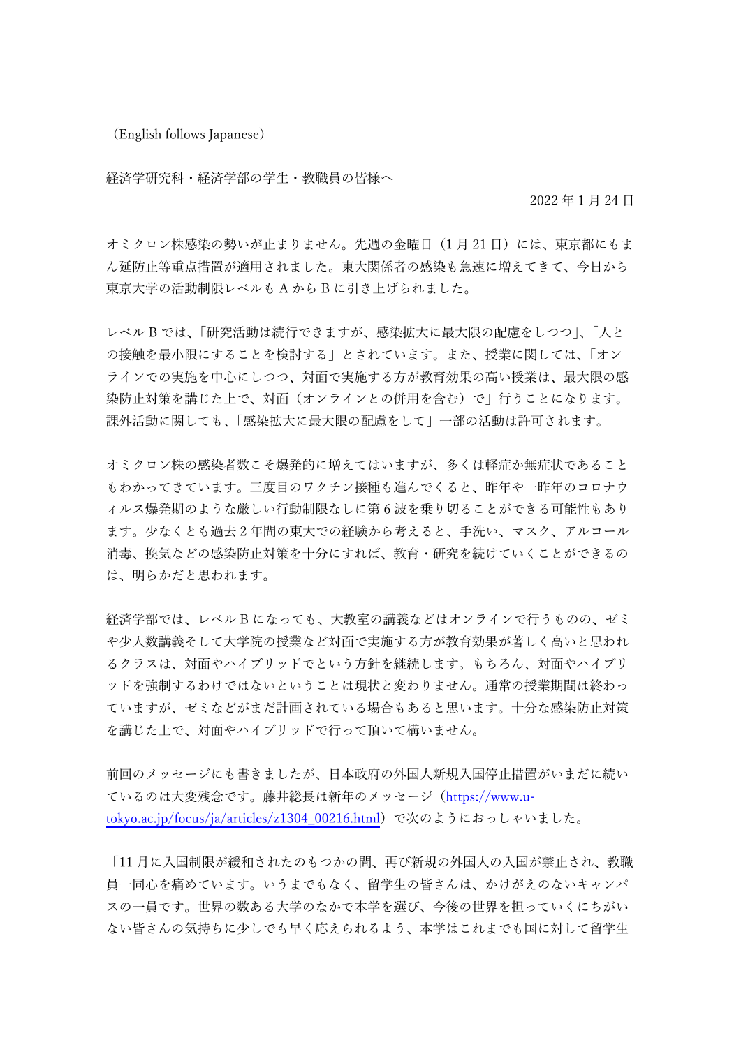(English follows Japanese)

経済学研究科・経済学部の学生・教職員の皆様へ

2022 年 1 月 24 日

オミクロン株感染の勢いが止まりません。先週の金曜日(1月21日)には、東京都にもま ん延防止等重点措置が適用されました。東大関係者の感染も急速に増えてきて、今日から 東京大学の活動制限レベルも A から B に引き上げられました。

レベル B では、「研究活動は続行できますが、感染拡大に最大限の配慮をしつつ」、「人と の接触を最小限にすることを検討する」とされています。また、授業に関しては、「オン ラインでの実施を中心にしつつ、対面で実施する方が教育効果の高い授業は、最大限の感 染防止対策を講じた上で、対面(オンラインとの併用を含む)で」行うことになります。 課外活動に関しても、「感染拡大に最大限の配慮をして」一部の活動は許可されます。

オミクロン株の感染者数こそ爆発的に増えてはいますが、多くは軽症か無症状であること もわかってきています。三度目のワクチン接種も進んでくると、昨年や一昨年のコロナウ ィルス爆発期のような厳しい行動制限なしに第 6 波を乗り切ることができる可能性もあり ます。少なくとも過去 2 年間の東大での経験から考えると、手洗い、マスク、アルコール 消毒、換気などの感染防止対策を十分にすれば、教育・研究を続けていくことができるの は、明らかだと思われます。

経済学部では、レベル B になっても、大教室の講義などはオンラインで行うものの、ゼミ や少人数講義そして大学院の授業など対面で実施する方が教育効果が著しく高いと思われ るクラスは、対面やハイブリッドでという方針を継続します。もちろん、対面やハイブリ ッドを強制するわけではないということは現状と変わりません。通常の授業期間は終わっ ていますが、ゼミなどがまだ計画されている場合もあると思います。十分な感染防止対策 を講じた上で、対面やハイブリッドで行って頂いて構いません。

前回のメッセージにも書きましたが、日本政府の外国人新規入国停止措置がいまだに続い ているのは大変残念です。藤井総長は新年のメッセージ(https://www.utokyo.ac.jp/focus/ja/articles/z1304\_00216.html)で次のようにおっしゃいました。

「11 月に入国制限が緩和されたのもつかの間、再び新規の外国人の入国が禁止され、教職 員一同心を痛めています。いうまでもなく、留学生の皆さんは、かけがえのないキャンパ スの一員です。世界の数ある大学のなかで本学を選び、今後の世界を担っていくにちがい ない皆さんの気持ちに少しでも早く応えられるよう、本学はこれまでも国に対して留学生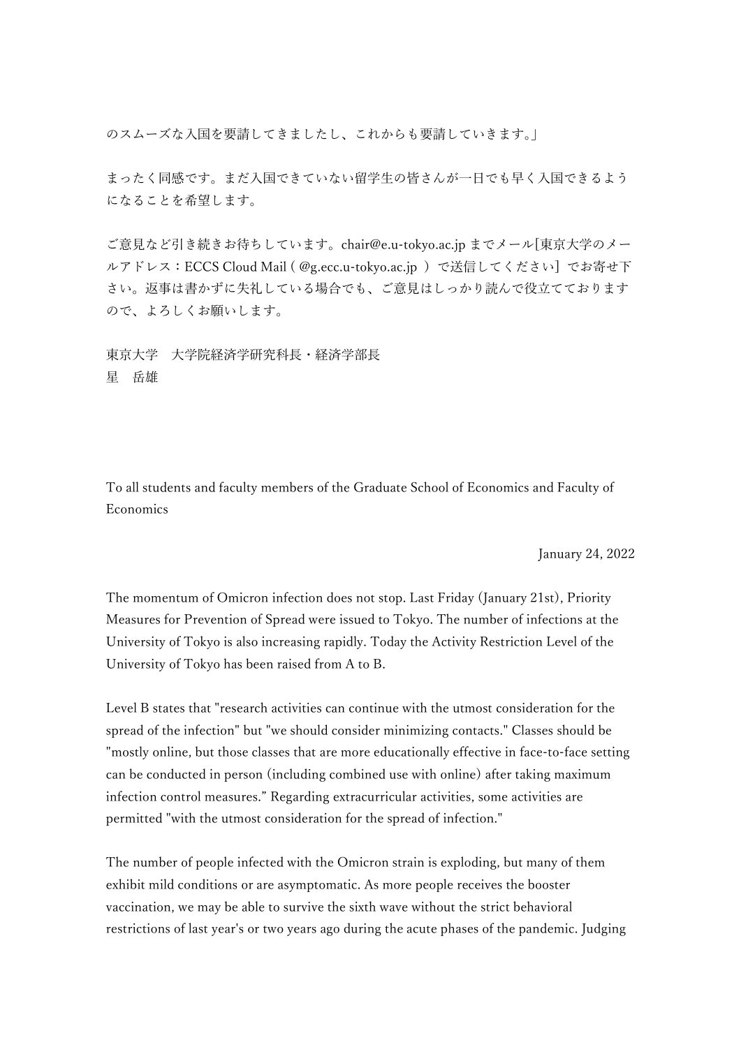のスムーズな入国を要請してきましたし、これからも要請していきます。」

まったく同感です。まだ入国できていない留学生の皆さんが一日でも早く入国できるよう になることを希望します。

ご意見など引き続きお待ちしています。chair@e.u-tokyo.ac.jp までメール[東京大学のメー ルアドレス:ECCS Cloud Mail ( @g.ecc.u-tokyo.ac.jp )で送信してください] でお寄せ下 さい。返事は書かずに失礼している場合でも、ご意見はしっかり読んで役立てております ので、よろしくお願いします。

東京大学 大学院経済学研究科長・経済学部長 星 岳雄

To all students and faculty members of the Graduate School of Economics and Faculty of Economics

January 24, 2022

The momentum of Omicron infection does not stop. Last Friday (January 21st), Priority Measures for Prevention of Spread were issued to Tokyo. The number of infections at the University of Tokyo is also increasing rapidly. Today the Activity Restriction Level of the University of Tokyo has been raised from A to B.

Level B states that "research activities can continue with the utmost consideration for the spread of the infection" but "we should consider minimizing contacts." Classes should be "mostly online, but those classes that are more educationally effective in face-to-face setting can be conducted in person (including combined use with online) after taking maximum infection control measures." Regarding extracurricular activities, some activities are permitted "with the utmost consideration for the spread of infection."

The number of people infected with the Omicron strain is exploding, but many of them exhibit mild conditions or are asymptomatic. As more people receives the booster vaccination, we may be able to survive the sixth wave without the strict behavioral restrictions of last year's or two years ago during the acute phases of the pandemic. Judging